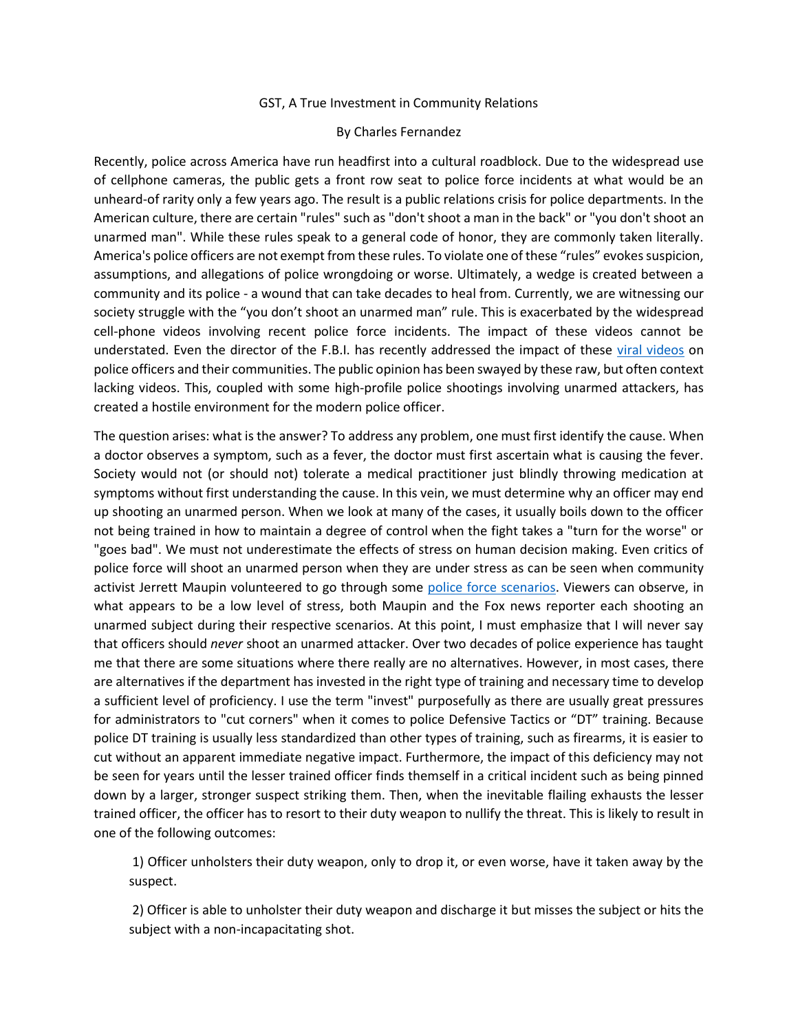## GST, A True Investment in Community Relations

## By Charles Fernandez

Recently, police across America have run headfirst into a cultural roadblock. Due to the widespread use of cellphone cameras, the public gets a front row seat to police force incidents at what would be an unheard-of rarity only a few years ago. The result is a public relations crisis for police departments. In the American culture, there are certain "rules" such as "don't shoot a man in the back" or "you don't shoot an unarmed man". While these rules speak to a general code of honor, they are commonly taken literally. America's police officers are not exempt from these rules. To violate one of these "rules" evokes suspicion, assumptions, and allegations of police wrongdoing or worse. Ultimately, a wedge is created between a community and its police - a wound that can take decades to heal from. Currently, we are witnessing our society struggle with the "you don't shoot an unarmed man" rule. This is exacerbated by the widespread cell-phone videos involving recent police force incidents. The impact of these videos cannot be understated. Even the director of the F.B.I. has recently addressed the impact of these [viral videos](https://www.usatoday.com/story/news/nation/2016/05/11/comey-fbi-director-viral-videos-crime/84245166/) on police officers and their communities. The public opinion has been swayed by these raw, but often context lacking videos. This, coupled with some high-profile police shootings involving unarmed attackers, has created a hostile environment for the modern police officer.

The question arises: what is the answer? To address any problem, one must first identify the cause. When a doctor observes a symptom, such as a fever, the doctor must first ascertain what is causing the fever. Society would not (or should not) tolerate a medical practitioner just blindly throwing medication at symptoms without first understanding the cause. In this vein, we must determine why an officer may end up shooting an unarmed person. When we look at many of the cases, it usually boils down to the officer not being trained in how to maintain a degree of control when the fight takes a "turn for the worse" or "goes bad". We must not underestimate the effects of stress on human decision making. Even critics of police force will shoot an unarmed person when they are under stress as can be seen when community activist Jerrett Maupin volunteered to go through some [police force scenarios.](https://www.youtube.com/watch?v=yfi3Ndh3n-g) Viewers can observe, in what appears to be a low level of stress, both Maupin and the Fox news reporter each shooting an unarmed subject during their respective scenarios. At this point, I must emphasize that I will never say that officers should *never* shoot an unarmed attacker. Over two decades of police experience has taught me that there are some situations where there really are no alternatives. However, in most cases, there are alternatives if the department has invested in the right type of training and necessary time to develop a sufficient level of proficiency. I use the term "invest" purposefully as there are usually great pressures for administrators to "cut corners" when it comes to police Defensive Tactics or "DT" training. Because police DT training is usually less standardized than other types of training, such as firearms, it is easier to cut without an apparent immediate negative impact. Furthermore, the impact of this deficiency may not be seen for years until the lesser trained officer finds themself in a critical incident such as being pinned down by a larger, stronger suspect striking them. Then, when the inevitable flailing exhausts the lesser trained officer, the officer has to resort to their duty weapon to nullify the threat. This is likely to result in one of the following outcomes:

1) Officer unholsters their duty weapon, only to drop it, or even worse, have it taken away by the suspect.

2) Officer is able to unholster their duty weapon and discharge it but misses the subject or hits the subject with a non-incapacitating shot.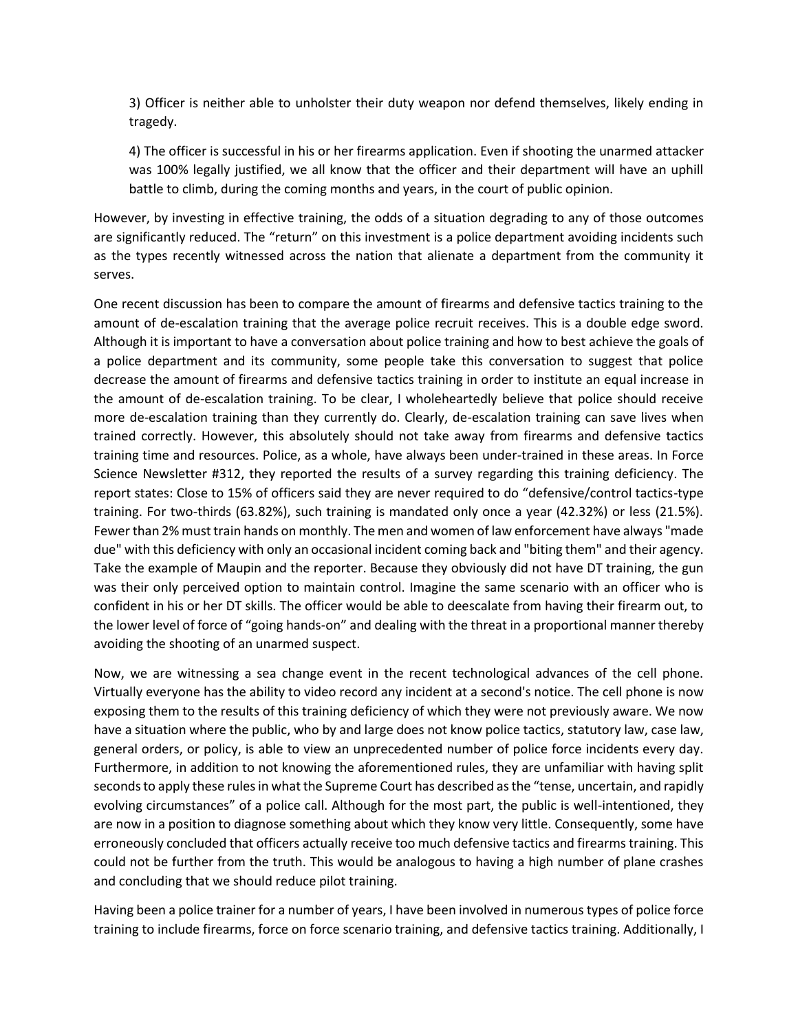3) Officer is neither able to unholster their duty weapon nor defend themselves, likely ending in tragedy.

4) The officer is successful in his or her firearms application. Even if shooting the unarmed attacker was 100% legally justified, we all know that the officer and their department will have an uphill battle to climb, during the coming months and years, in the court of public opinion.

However, by investing in effective training, the odds of a situation degrading to any of those outcomes are significantly reduced. The "return" on this investment is a police department avoiding incidents such as the types recently witnessed across the nation that alienate a department from the community it serves.

One recent discussion has been to compare the amount of firearms and defensive tactics training to the amount of de-escalation training that the average police recruit receives. This is a double edge sword. Although it is important to have a conversation about police training and how to best achieve the goals of a police department and its community, some people take this conversation to suggest that police decrease the amount of firearms and defensive tactics training in order to institute an equal increase in the amount of de-escalation training. To be clear, I wholeheartedly believe that police should receive more de-escalation training than they currently do. Clearly, de-escalation training can save lives when trained correctly. However, this absolutely should not take away from firearms and defensive tactics training time and resources. Police, as a whole, have always been under-trained in these areas. In Force Science Newsletter #312, they reported the results of a survey regarding this training deficiency. The report states: Close to 15% of officers said they are never required to do "defensive/control tactics-type training. For two-thirds (63.82%), such training is mandated only once a year (42.32%) or less (21.5%). Fewer than 2% must train hands on monthly. The men and women of law enforcement have always "made due" with this deficiency with only an occasional incident coming back and "biting them" and their agency. Take the example of Maupin and the reporter. Because they obviously did not have DT training, the gun was their only perceived option to maintain control. Imagine the same scenario with an officer who is confident in his or her DT skills. The officer would be able to deescalate from having their firearm out, to the lower level of force of "going hands-on" and dealing with the threat in a proportional manner thereby avoiding the shooting of an unarmed suspect.

Now, we are witnessing a sea change event in the recent technological advances of the cell phone. Virtually everyone has the ability to video record any incident at a second's notice. The cell phone is now exposing them to the results of this training deficiency of which they were not previously aware. We now have a situation where the public, who by and large does not know police tactics, statutory law, case law, general orders, or policy, is able to view an unprecedented number of police force incidents every day. Furthermore, in addition to not knowing the aforementioned rules, they are unfamiliar with having split seconds to apply these rules in what the Supreme Court has described as the "tense, uncertain, and rapidly evolving circumstances" of a police call. Although for the most part, the public is well-intentioned, they are now in a position to diagnose something about which they know very little. Consequently, some have erroneously concluded that officers actually receive too much defensive tactics and firearms training. This could not be further from the truth. This would be analogous to having a high number of plane crashes and concluding that we should reduce pilot training.

Having been a police trainer for a number of years, I have been involved in numerous types of police force training to include firearms, force on force scenario training, and defensive tactics training. Additionally, I